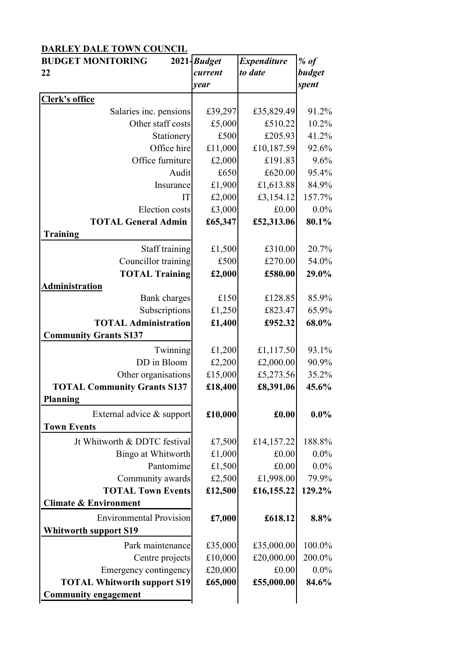## **DARLEY DALE TOWN COUNCIL**

| <b>BUDGET MONITORING</b>           | 2021- <b>Budget</b> | <b>Expenditure</b> | $%$ of  |
|------------------------------------|---------------------|--------------------|---------|
| 22                                 | current             | to date            | budget  |
|                                    | year                |                    | spent   |
| <b>Clerk's office</b>              |                     |                    |         |
| Salaries inc. pensions             | £39,297             | £35,829.49         | 91.2%   |
| Other staff costs                  | £5,000              | £510.22            | 10.2%   |
| Stationery                         | £500                | £205.93            | 41.2%   |
| Office hire                        | £11,000             | £10,187.59         | 92.6%   |
| Office furniture                   | £2,000              | £191.83            | 9.6%    |
| Audit                              | £650                | £620.00            | 95.4%   |
| Insurance                          | £1,900              | £1,613.88          | 84.9%   |
| IT                                 | £2,000              | £3,154.12          | 157.7%  |
| <b>Election</b> costs              | £3,000              | £0.00              | 0.0%    |
| <b>TOTAL General Admin</b>         | £65,347             | £52,313.06         | 80.1%   |
| <b>Training</b>                    |                     |                    |         |
| Staff training                     | £1,500              | £310.00            | 20.7%   |
| Councillor training                | £500                | £270.00            | 54.0%   |
| <b>TOTAL Training</b>              | £2,000              | £580.00            | 29.0%   |
| Administration                     |                     |                    |         |
| <b>Bank</b> charges                | £150                | £128.85            | 85.9%   |
| Subscriptions                      | £1,250              | £823.47            | 65.9%   |
| <b>TOTAL Administration</b>        | £1,400              | £952.32            | 68.0%   |
| <b>Community Grants S137</b>       |                     |                    |         |
| Twinning                           | £1,200              | £1,117.50          | 93.1%   |
| DD in Bloom                        | £2,200              | £2,000.00          | 90.9%   |
| Other organisations                | £15,000             | £5,273.56          | 35.2%   |
| <b>TOTAL Community Grants S137</b> | £18,400             | £8,391.06          | 45.6%   |
| <b>Planning</b>                    |                     |                    |         |
| External advice & support          | £10,000             | £0.00              | $0.0\%$ |
| <b>Town Events</b>                 |                     |                    |         |
| Jt Whitworth & DDTC festival       | £7,500              | £14,157.22         | 188.8%  |
| Bingo at Whitworth                 | £1,000              | £0.00              | $0.0\%$ |
| Pantomime                          | £1,500              | £0.00              | 0.0%    |
| Community awards                   | £2,500              | £1,998.00          | 79.9%   |
| <b>TOTAL Town Events</b>           | £12,500             | £16,155.22         | 129.2%  |
| <b>Climate &amp; Environment</b>   |                     |                    |         |
| <b>Environmental Provision</b>     | £7,000              | £618.12            | 8.8%    |
| <b>Whitworth support S19</b>       |                     |                    |         |
| Park maintenance                   | £35,000             | £35,000.00         | 100.0%  |
| Centre projects                    | £10,000             | £20,000.00         | 200.0%  |
| Emergency contingency              | £20,000             | £0.00              | 0.0%    |
| <b>TOTAL Whitworth support S19</b> | £65,000             | £55,000.00         | 84.6%   |
| <b>Community engagement</b>        |                     |                    |         |
|                                    |                     |                    |         |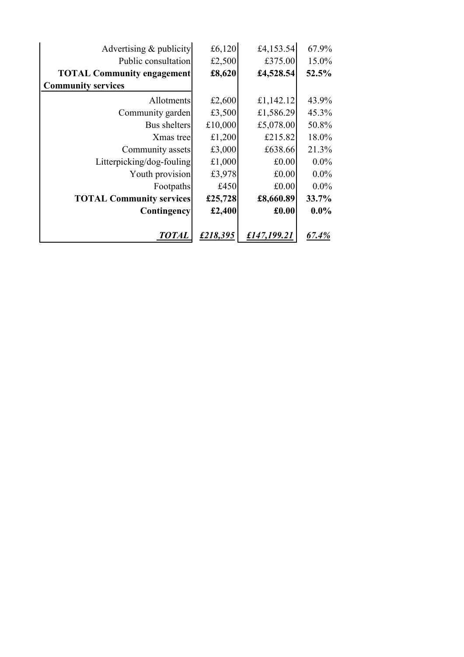| Advertising & publicity           | £6,120   | £4,153.54   | 67.9%   |  |
|-----------------------------------|----------|-------------|---------|--|
| Public consultation               | £2,500   | £375.00     | 15.0%   |  |
| <b>TOTAL Community engagement</b> | £8,620   | £4,528.54   | 52.5%   |  |
| <b>Community services</b>         |          |             |         |  |
| Allotments                        | £2,600   | £1,142.12   | 43.9%   |  |
| Community garden                  | £3,500   | £1,586.29   | 45.3%   |  |
| Bus shelters                      | £10,000  | £5,078.00   | 50.8%   |  |
| Xmas treel                        | £1,200   | £215.82     | 18.0%   |  |
| Community assets                  | £3,000   | £638.66     | 21.3%   |  |
| Litterpicking/dog-fouling         | £1,000   | £0.00       | $0.0\%$ |  |
| Youth provision                   | £3,978   | £0.00       | $0.0\%$ |  |
| Footpaths                         | £450     | £0.00       | $0.0\%$ |  |
| <b>TOTAL Community services</b>   | £25,728  | £8,660.89   | 33.7%   |  |
| <b>Contingency</b>                | £2,400   | £0.00       | $0.0\%$ |  |
| <b>TOTAL</b>                      | £218,395 | £147,199.21 | 67.4%   |  |